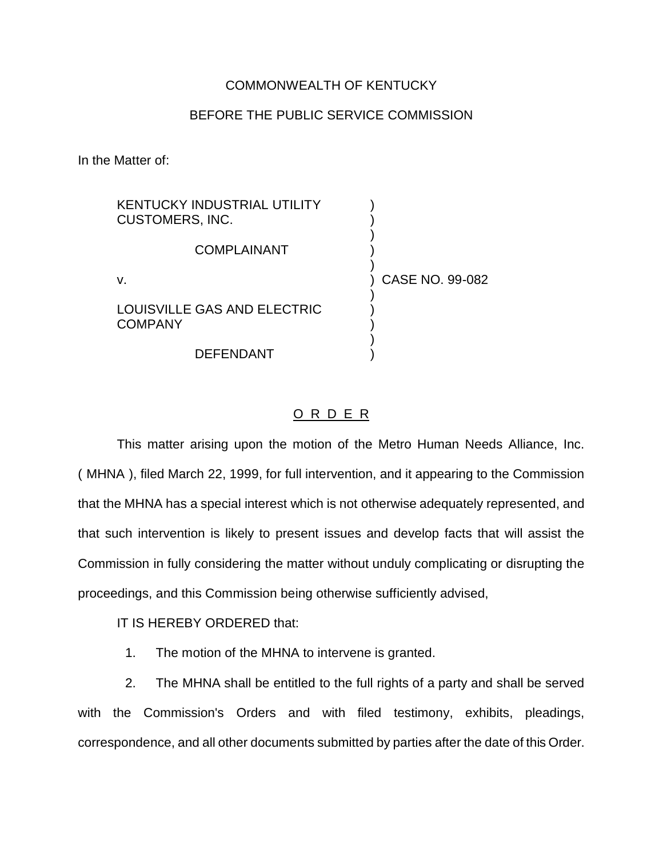## COMMONWEALTH OF KENTUCKY

## BEFORE THE PUBLIC SERVICE COMMISSION

In the Matter of:

| <b>KENTUCKY INDUSTRIAL UTILITY</b><br><b>CUSTOMERS, INC.</b> |                 |
|--------------------------------------------------------------|-----------------|
| COMPLAINANT                                                  |                 |
| v.                                                           | CASE NO. 99-082 |
| LOUISVILLE GAS AND ELECTRIC<br><b>COMPANY</b>                |                 |
| <b>DEFENDANT</b>                                             |                 |

## O R D E R

This matter arising upon the motion of the Metro Human Needs Alliance, Inc. ( MHNA ), filed March 22, 1999, for full intervention, and it appearing to the Commission that the MHNA has a special interest which is not otherwise adequately represented, and that such intervention is likely to present issues and develop facts that will assist the Commission in fully considering the matter without unduly complicating or disrupting the proceedings, and this Commission being otherwise sufficiently advised,

IT IS HEREBY ORDERED that:

1. The motion of the MHNA to intervene is granted.

2. The MHNA shall be entitled to the full rights of a party and shall be served with the Commission's Orders and with filed testimony, exhibits, pleadings, correspondence, and all other documents submitted by parties after the date of this Order.